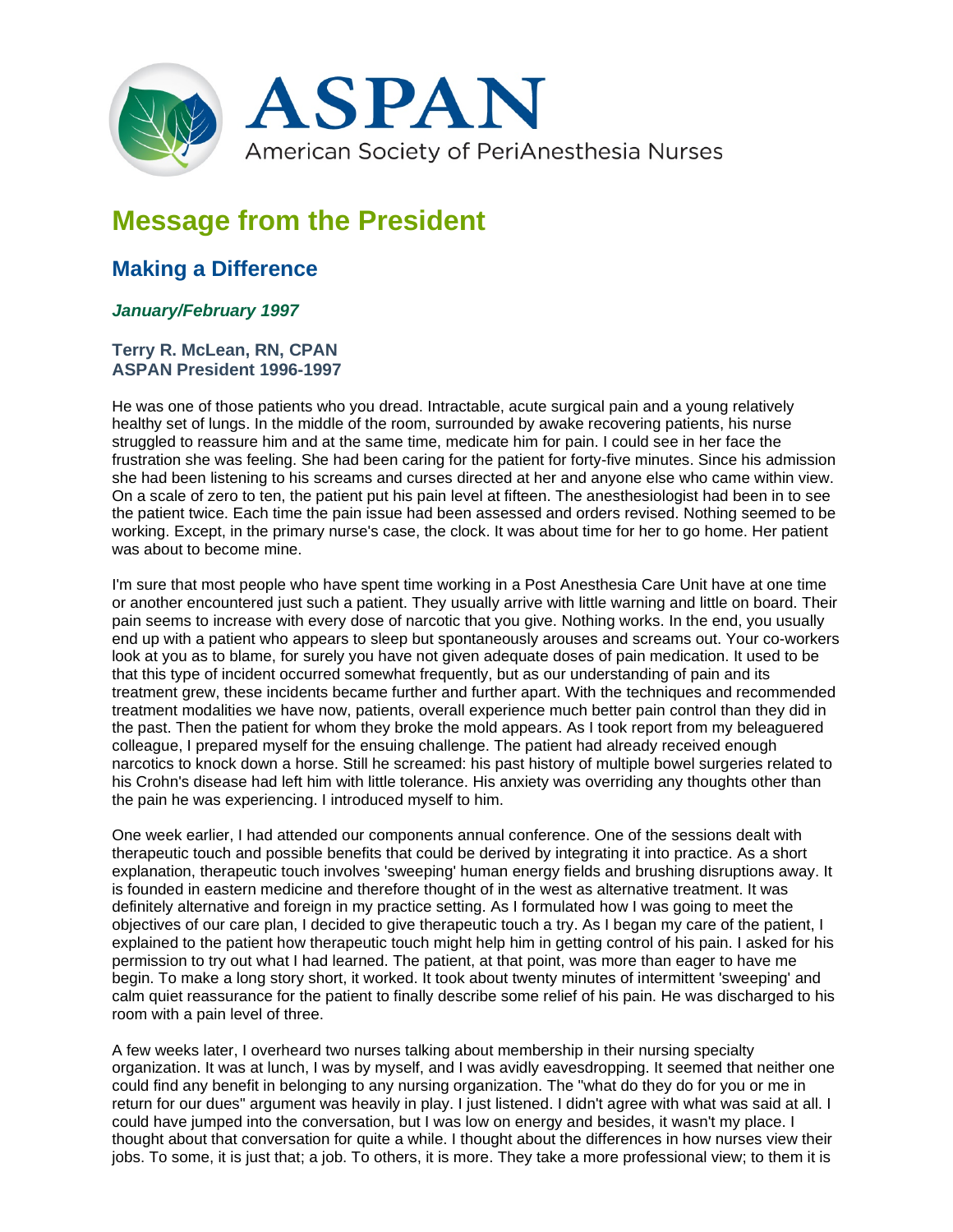

## **Message from the President**

## **Making a Difference**

## *January/February 1997*

## **Terry R. McLean, RN, CPAN ASPAN President 1996-1997**

He was one of those patients who you dread. Intractable, acute surgical pain and a young relatively healthy set of lungs. In the middle of the room, surrounded by awake recovering patients, his nurse struggled to reassure him and at the same time, medicate him for pain. I could see in her face the frustration she was feeling. She had been caring for the patient for forty-five minutes. Since his admission she had been listening to his screams and curses directed at her and anyone else who came within view. On a scale of zero to ten, the patient put his pain level at fifteen. The anesthesiologist had been in to see the patient twice. Each time the pain issue had been assessed and orders revised. Nothing seemed to be working. Except, in the primary nurse's case, the clock. It was about time for her to go home. Her patient was about to become mine.

I'm sure that most people who have spent time working in a Post Anesthesia Care Unit have at one time or another encountered just such a patient. They usually arrive with little warning and little on board. Their pain seems to increase with every dose of narcotic that you give. Nothing works. In the end, you usually end up with a patient who appears to sleep but spontaneously arouses and screams out. Your co-workers look at you as to blame, for surely you have not given adequate doses of pain medication. It used to be that this type of incident occurred somewhat frequently, but as our understanding of pain and its treatment grew, these incidents became further and further apart. With the techniques and recommended treatment modalities we have now, patients, overall experience much better pain control than they did in the past. Then the patient for whom they broke the mold appears. As I took report from my beleaguered colleague, I prepared myself for the ensuing challenge. The patient had already received enough narcotics to knock down a horse. Still he screamed: his past history of multiple bowel surgeries related to his Crohn's disease had left him with little tolerance. His anxiety was overriding any thoughts other than the pain he was experiencing. I introduced myself to him.

One week earlier, I had attended our components annual conference. One of the sessions dealt with therapeutic touch and possible benefits that could be derived by integrating it into practice. As a short explanation, therapeutic touch involves 'sweeping' human energy fields and brushing disruptions away. It is founded in eastern medicine and therefore thought of in the west as alternative treatment. It was definitely alternative and foreign in my practice setting. As I formulated how I was going to meet the objectives of our care plan, I decided to give therapeutic touch a try. As I began my care of the patient, I explained to the patient how therapeutic touch might help him in getting control of his pain. I asked for his permission to try out what I had learned. The patient, at that point, was more than eager to have me begin. To make a long story short, it worked. It took about twenty minutes of intermittent 'sweeping' and calm quiet reassurance for the patient to finally describe some relief of his pain. He was discharged to his room with a pain level of three.

A few weeks later, I overheard two nurses talking about membership in their nursing specialty organization. It was at lunch, I was by myself, and I was avidly eavesdropping. It seemed that neither one could find any benefit in belonging to any nursing organization. The "what do they do for you or me in return for our dues" argument was heavily in play. I just listened. I didn't agree with what was said at all. I could have jumped into the conversation, but I was low on energy and besides, it wasn't my place. I thought about that conversation for quite a while. I thought about the differences in how nurses view their jobs. To some, it is just that; a job. To others, it is more. They take a more professional view; to them it is